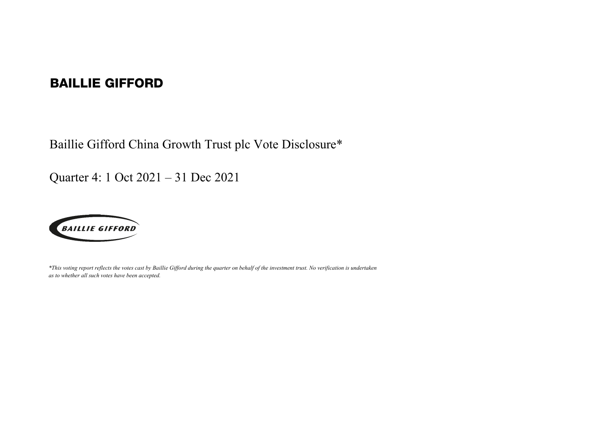## BAILLIE GIFFORD

Baillie Gifford China Growth Trust plc Vote Disclosure\*

Quarter 4: 1 Oct 2021 – 31 Dec 2021



*\*This voting report reflects the votes cast by Baillie Gifford during the quarter on behalf of the investment trust. No verification is undertaken as to whether all such votes have been accepted.*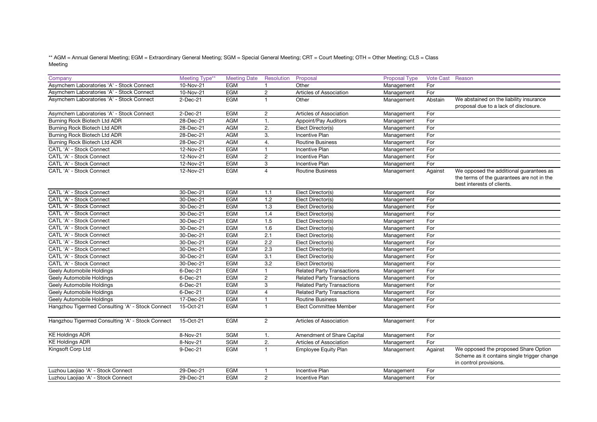\*\* AGM = Annual General Meeting; EGM = Extraordinary General Meeting; SGM = Special General Meeting; CRT = Court Meeting; OTH = Other Meeting; CLS = Class Meeting

| Company                                          | Meeting Type** | <b>Meeting Date</b> | Resolution     | Proposal                          | <b>Proposal Type</b> | Vote Cast Reason |                                                                                                               |
|--------------------------------------------------|----------------|---------------------|----------------|-----------------------------------|----------------------|------------------|---------------------------------------------------------------------------------------------------------------|
| Asymchem Laboratories 'A' - Stock Connect        | 10-Nov-21      | <b>EGM</b>          | $\mathbf{1}$   | Other                             | Management           | For              |                                                                                                               |
| Asymchem Laboratories 'A' - Stock Connect        | 10-Nov-21      | <b>EGM</b>          | $\overline{2}$ | Articles of Association           | Management           | For              |                                                                                                               |
| Asymchem Laboratories 'A' - Stock Connect        | $2-Dec-21$     | <b>EGM</b>          | $\mathbf{1}$   | Other                             | Management           | Abstain          | We abstained on the liability insurance                                                                       |
|                                                  |                |                     |                |                                   |                      |                  | proposal due to a lack of disclosure.                                                                         |
| Asymchem Laboratories 'A' - Stock Connect        | $2-Dec-21$     | <b>EGM</b>          | $\overline{2}$ | Articles of Association           | Management           | For              |                                                                                                               |
| Burning Rock Biotech Ltd ADR                     | 28-Dec-21      | <b>AGM</b>          | 1.             | Appoint/Pay Auditors              | Management           | For              |                                                                                                               |
| Burning Rock Biotech Ltd ADR                     | 28-Dec-21      | <b>AGM</b>          | 2.             | Elect Director(s)                 | Management           | For              |                                                                                                               |
| Burning Rock Biotech Ltd ADR                     | 28-Dec-21      | <b>AGM</b>          | 3.             | <b>Incentive Plan</b>             | Management           | For              |                                                                                                               |
| Burning Rock Biotech Ltd ADR                     | 28-Dec-21      | <b>AGM</b>          | 4.             | <b>Routine Business</b>           | Management           | For              |                                                                                                               |
| CATL 'A' - Stock Connect                         | 12-Nov-21      | <b>EGM</b>          | $\mathbf{1}$   | <b>Incentive Plan</b>             | Management           | For              |                                                                                                               |
| CATL 'A' - Stock Connect                         | 12-Nov-21      | EGM                 | $\overline{2}$ | Incentive Plan                    | Management           | For              |                                                                                                               |
| CATL 'A' - Stock Connect                         | 12-Nov-21      | <b>EGM</b>          | 3              | <b>Incentive Plan</b>             | Management           | For              |                                                                                                               |
| CATL 'A' - Stock Connect                         | 12-Nov-21      | <b>EGM</b>          | $\overline{4}$ | <b>Routine Business</b>           | Management           | Against          | We opposed the additional guarantees as                                                                       |
|                                                  |                |                     |                |                                   |                      |                  | the terms of the guarantees are not in the                                                                    |
|                                                  |                |                     |                |                                   |                      |                  | best interests of clients.                                                                                    |
| CATL 'A' - Stock Connect                         | 30-Dec-21      | EGM                 | 1.1            | Elect Director(s)                 | Management           | For              |                                                                                                               |
| CATL 'A' - Stock Connect                         | 30-Dec-21      | <b>EGM</b>          | 1.2            | Elect Director(s)                 | Management           | For              |                                                                                                               |
| CATL 'A' - Stock Connect                         | 30-Dec-21      | <b>EGM</b>          | 1.3            | Elect Director(s)                 | Management           | For              |                                                                                                               |
| CATL 'A' - Stock Connect                         | 30-Dec-21      | <b>EGM</b>          | 1.4            | Elect Director(s)                 | Management           | For              |                                                                                                               |
| CATL 'A' - Stock Connect                         | 30-Dec-21      | <b>EGM</b>          | 1.5            | Elect Director(s)                 | Management           | For              |                                                                                                               |
| CATL 'A' - Stock Connect                         | 30-Dec-21      | <b>EGM</b>          | 1.6            | Elect Director(s)                 | Management           | For              |                                                                                                               |
| CATL 'A' - Stock Connect                         | 30-Dec-21      | <b>EGM</b>          | 2.1            | Elect Director(s)                 | Management           | For              |                                                                                                               |
| CATL 'A' - Stock Connect                         | 30-Dec-21      | <b>EGM</b>          | 2.2            | Elect Director(s)                 | Management           | For              |                                                                                                               |
| CATL 'A' - Stock Connect                         | 30-Dec-21      | <b>EGM</b>          | 2.3            | Elect Director(s)                 | Management           | For              |                                                                                                               |
| CATL 'A' - Stock Connect                         | 30-Dec-21      | <b>EGM</b>          | 3.1            | Elect Director(s)                 | Management           | For              |                                                                                                               |
| CATL 'A' - Stock Connect                         | 30-Dec-21      | <b>EGM</b>          | 3.2            | Elect Director(s)                 | Management           | For              |                                                                                                               |
| Geely Automobile Holdings                        | 6-Dec-21       | <b>EGM</b>          | $\mathbf{1}$   | <b>Related Party Transactions</b> | Management           | For              |                                                                                                               |
| Geely Automobile Holdings                        | $6$ -Dec-21    | <b>EGM</b>          | $\overline{2}$ | <b>Related Party Transactions</b> | Management           | For              |                                                                                                               |
| Geely Automobile Holdings                        | $6$ -Dec-21    | <b>EGM</b>          | 3              | <b>Related Party Transactions</b> | Management           | For              |                                                                                                               |
| Geely Automobile Holdings                        | $6$ -Dec-21    | <b>EGM</b>          | $\overline{4}$ | <b>Related Party Transactions</b> | Management           | For              |                                                                                                               |
| Geely Automobile Holdings                        | 17-Dec-21      | <b>EGM</b>          | $\mathbf{1}$   | <b>Routine Business</b>           | Management           | For              |                                                                                                               |
| Hangzhou Tigermed Consulting 'A' - Stock Connect | 15-Oct-21      | <b>EGM</b>          | $\mathbf{1}$   | <b>Elect Committee Member</b>     | Management           | For              |                                                                                                               |
| Hangzhou Tigermed Consulting 'A' - Stock Connect | 15-Oct-21      | <b>EGM</b>          | $\overline{2}$ | Articles of Association           | Management           | For              |                                                                                                               |
|                                                  |                |                     |                |                                   |                      |                  |                                                                                                               |
| <b>KE Holdings ADR</b>                           | 8-Nov-21       | <b>SGM</b>          | 1.             | Amendment of Share Capital        | Management           | For              |                                                                                                               |
| <b>KE Holdings ADR</b>                           | 8-Nov-21       | <b>SGM</b>          | 2.             | Articles of Association           | Management           | For              |                                                                                                               |
| Kingsoft Corp Ltd                                | 9-Dec-21       | <b>EGM</b>          | $\mathbf{1}$   | <b>Employee Equity Plan</b>       | Management           | Against          | We opposed the proposed Share Option<br>Scheme as it contains single trigger change<br>in control provisions. |
| Luzhou Laojiao 'A' - Stock Connect               | 29-Dec-21      | <b>EGM</b>          | $\overline{1}$ | <b>Incentive Plan</b>             | Management           | For              |                                                                                                               |
| Luzhou Laojiao 'A' - Stock Connect               | 29-Dec-21      | <b>EGM</b>          | $\overline{2}$ | <b>Incentive Plan</b>             | Management           | For              |                                                                                                               |
|                                                  |                |                     |                |                                   |                      |                  |                                                                                                               |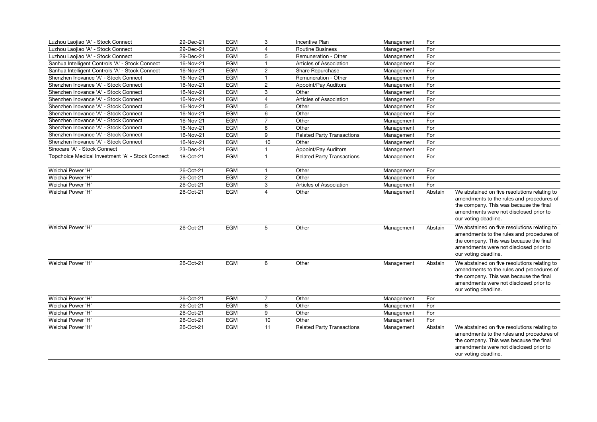| Luzhou Laojiao 'A' - Stock Connect               | 29-Dec-21 | EGM        | 3              | <b>Incentive Plan</b>             | Management | For     |                                                                                                                                                                                                        |
|--------------------------------------------------|-----------|------------|----------------|-----------------------------------|------------|---------|--------------------------------------------------------------------------------------------------------------------------------------------------------------------------------------------------------|
| Luzhou Laojiao 'A' - Stock Connect               | 29-Dec-21 | <b>EGM</b> | $\overline{4}$ | <b>Routine Business</b>           | Management | For     |                                                                                                                                                                                                        |
| Luzhou Laojiao 'A' - Stock Connect               | 29-Dec-21 | <b>EGM</b> | 5              | Remuneration - Other              | Management | For     |                                                                                                                                                                                                        |
| Sanhua Intelligent Controls 'A' - Stock Connect  | 16-Nov-21 | <b>EGM</b> | $\mathbf{1}$   | Articles of Association           | Management | For     |                                                                                                                                                                                                        |
| Sanhua Intelligent Controls 'A' - Stock Connect  | 16-Nov-21 | <b>EGM</b> | $\overline{2}$ | Share Repurchase                  | Management | For     |                                                                                                                                                                                                        |
| Shenzhen Inovance 'A' - Stock Connect            | 16-Nov-21 | <b>EGM</b> | $\mathbf{1}$   | Remuneration - Other              | Management | For     |                                                                                                                                                                                                        |
| Shenzhen Inovance 'A' - Stock Connect            | 16-Nov-21 | EGM        | $\overline{2}$ | <b>Appoint/Pay Auditors</b>       | Management | For     |                                                                                                                                                                                                        |
| Shenzhen Inovance 'A' - Stock Connect            | 16-Nov-21 | <b>EGM</b> | 3              | Other                             | Management | For     |                                                                                                                                                                                                        |
| Shenzhen Inovance 'A' - Stock Connect            | 16-Nov-21 | <b>EGM</b> | $\overline{4}$ | Articles of Association           | Management | For     |                                                                                                                                                                                                        |
| Shenzhen Inovance 'A' - Stock Connect            | 16-Nov-21 | EGM        | 5              | Other                             | Management | For     |                                                                                                                                                                                                        |
| Shenzhen Inovance 'A' - Stock Connect            | 16-Nov-21 | <b>EGM</b> | 6              | Other                             | Management | For     |                                                                                                                                                                                                        |
| Shenzhen Inovance 'A' - Stock Connect            | 16-Nov-21 | <b>EGM</b> | $\overline{7}$ | Other                             | Management | For     |                                                                                                                                                                                                        |
| Shenzhen Inovance 'A' - Stock Connect            | 16-Nov-21 | <b>EGM</b> | 8              | Other                             | Management | For     |                                                                                                                                                                                                        |
| Shenzhen Inovance 'A' - Stock Connect            | 16-Nov-21 | <b>EGM</b> | 9              | <b>Related Party Transactions</b> | Management | For     |                                                                                                                                                                                                        |
| Shenzhen Inovance 'A' - Stock Connect            | 16-Nov-21 | <b>EGM</b> | 10             | Other                             | Management | For     |                                                                                                                                                                                                        |
| Sinocare 'A' - Stock Connect                     | 23-Dec-21 | <b>EGM</b> | $\mathbf{1}$   | Appoint/Pay Auditors              | Management | For     |                                                                                                                                                                                                        |
| Topchoice Medical Investment 'A' - Stock Connect | 18-Oct-21 | EGM        | $\mathbf{1}$   | <b>Related Party Transactions</b> | Management | For     |                                                                                                                                                                                                        |
|                                                  |           |            |                |                                   |            |         |                                                                                                                                                                                                        |
| Weichai Power 'H'                                | 26-Oct-21 | <b>EGM</b> | 1              | Other                             | Management | For     |                                                                                                                                                                                                        |
| Weichai Power 'H'                                | 26-Oct-21 | EGM        | $\overline{2}$ | Other                             | Management | For     |                                                                                                                                                                                                        |
| Weichai Power 'H'                                | 26-Oct-21 | <b>EGM</b> | 3              | Articles of Association           | Management | For     |                                                                                                                                                                                                        |
| Weichai Power 'H'                                | 26-Oct-21 | <b>EGM</b> | $\overline{4}$ | Other                             | Management | Abstain | We abstained on five resolutions relating to<br>amendments to the rules and procedures of<br>the company. This was because the final<br>amendments were not disclosed prior to<br>our voting deadline. |
| Weichai Power 'H'                                | 26-Oct-21 | EGM        | 5              | Other                             | Management | Abstain | We abstained on five resolutions relating to<br>amendments to the rules and procedures of<br>the company. This was because the final<br>amendments were not disclosed prior to<br>our voting deadline. |
| Weichai Power 'H'                                | 26-Oct-21 | EGM        | 6              | Other                             | Management | Abstain | We abstained on five resolutions relating to<br>amendments to the rules and procedures of<br>the company. This was because the final<br>amendments were not disclosed prior to<br>our voting deadline. |
| Weichai Power 'H'                                | 26-Oct-21 | EGM        | $\overline{7}$ | Other                             | Management | For     |                                                                                                                                                                                                        |
| Weichai Power 'H'                                | 26-Oct-21 | <b>EGM</b> | 8              | Other                             | Management | For     |                                                                                                                                                                                                        |
| Weichai Power 'H'                                | 26-Oct-21 | <b>EGM</b> | 9              | Other                             | Management | For     |                                                                                                                                                                                                        |
| Weichai Power 'H'                                | 26-Oct-21 | EGM        | 10             | Other                             | Management | For     |                                                                                                                                                                                                        |
| Weichai Power 'H'                                | 26-Oct-21 | EGM        | 11             | <b>Related Party Transactions</b> | Management | Abstain | We abstained on five resolutions relating to<br>amendments to the rules and procedures of<br>the company. This was because the final<br>amendments were not disclosed prior to<br>our voting deadline. |